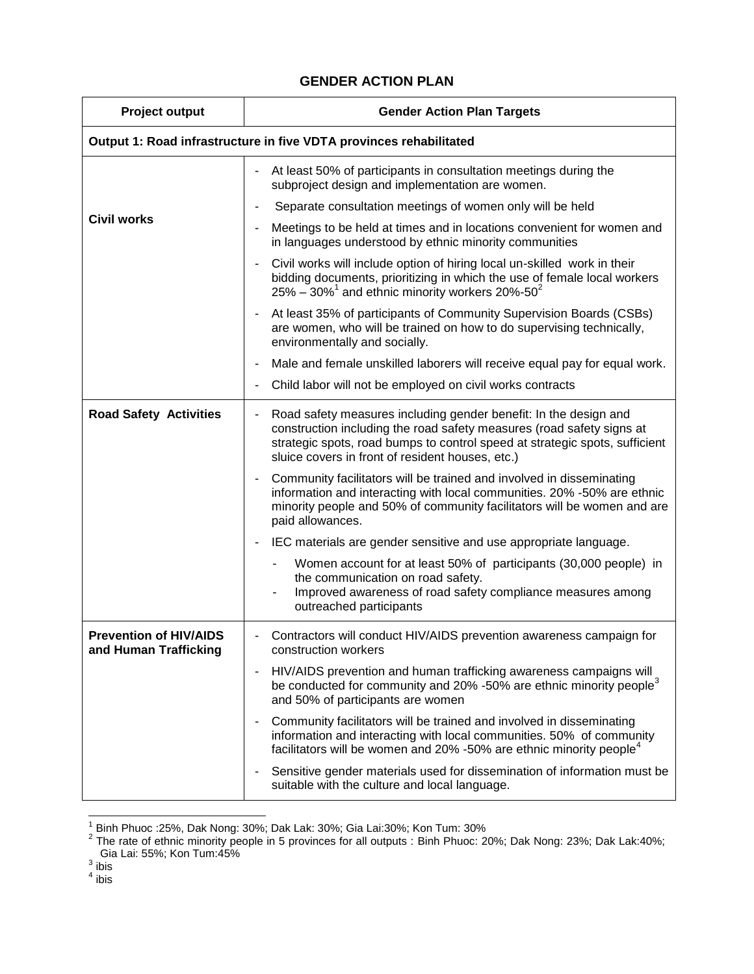## **GENDER ACTION PLAN**

| <b>Project output</b>                                              | <b>Gender Action Plan Targets</b>                                                                                                                                                                                                                                            |  |
|--------------------------------------------------------------------|------------------------------------------------------------------------------------------------------------------------------------------------------------------------------------------------------------------------------------------------------------------------------|--|
| Output 1: Road infrastructure in five VDTA provinces rehabilitated |                                                                                                                                                                                                                                                                              |  |
| <b>Civil works</b>                                                 | At least 50% of participants in consultation meetings during the<br>subproject design and implementation are women.                                                                                                                                                          |  |
|                                                                    | Separate consultation meetings of women only will be held                                                                                                                                                                                                                    |  |
|                                                                    | Meetings to be held at times and in locations convenient for women and<br>in languages understood by ethnic minority communities                                                                                                                                             |  |
|                                                                    | Civil works will include option of hiring local un-skilled work in their<br>bidding documents, prioritizing in which the use of female local workers<br>$25\% - 30\%$ <sup>1</sup> and ethnic minority workers 20%-50 <sup>2</sup>                                           |  |
|                                                                    | At least 35% of participants of Community Supervision Boards (CSBs)<br>are women, who will be trained on how to do supervising technically,<br>environmentally and socially.                                                                                                 |  |
|                                                                    | Male and female unskilled laborers will receive equal pay for equal work.                                                                                                                                                                                                    |  |
|                                                                    | Child labor will not be employed on civil works contracts                                                                                                                                                                                                                    |  |
| <b>Road Safety Activities</b>                                      | Road safety measures including gender benefit: In the design and<br>construction including the road safety measures (road safety signs at<br>strategic spots, road bumps to control speed at strategic spots, sufficient<br>sluice covers in front of resident houses, etc.) |  |
|                                                                    | Community facilitators will be trained and involved in disseminating<br>information and interacting with local communities. 20% -50% are ethnic<br>minority people and 50% of community facilitators will be women and are<br>paid allowances.                               |  |
|                                                                    | IEC materials are gender sensitive and use appropriate language.                                                                                                                                                                                                             |  |
|                                                                    | Women account for at least 50% of participants (30,000 people) in<br>the communication on road safety.<br>Improved awareness of road safety compliance measures among<br>outreached participants                                                                             |  |
| <b>Prevention of HIV/AIDS</b><br>and Human Trafficking             | Contractors will conduct HIV/AIDS prevention awareness campaign for<br>construction workers                                                                                                                                                                                  |  |
|                                                                    | HIV/AIDS prevention and human trafficking awareness campaigns will<br>be conducted for community and 20% -50% are ethnic minority people <sup>3</sup><br>and 50% of participants are women                                                                                   |  |
|                                                                    | Community facilitators will be trained and involved in disseminating<br>information and interacting with local communities. 50% of community<br>facilitators will be women and 20% -50% are ethnic minority people <sup>4</sup>                                              |  |
|                                                                    | Sensitive gender materials used for dissemination of information must be<br>suitable with the culture and local language.                                                                                                                                                    |  |

 1 Binh Phuoc :25%, Dak Nong: 30%; Dak Lak: 30%; Gia Lai:30%; Kon Tum: 30% <sup>2</sup> The rate of ethnic minority people in 5 provinces for all outputs : Binh Phuoc: 20%; Dak Nong: 23%; Dak Lak:40%; Gia Lai: 55%; Kon Tum:45%<br><sup>3</sup>ibis

 $^4$  ibis